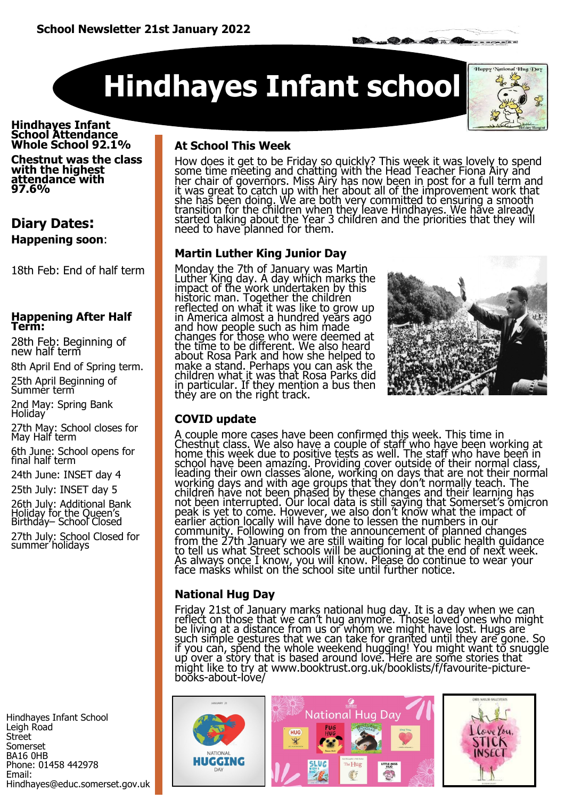**Hindhayes Infant school** 



**B. O. O. A.** 

#### **Hindhayes Infant School Attendance Whole School 92.1%**

**Chestnut was the class with the highest attendance with 97.6%** 

### **Diary Dates: Happening soon**:

18th Feb: End of half term

#### **Happening After Half Term:**

28th Feb: Beginning of new half term

8th April End of Spring term. 25th April Beginning of

Summer term

2nd May: Spring Bank Holiday

27th May: School closes for May Half term

6th June: School opens for final half term

24th June: INSET day 4

25th July: INSET day 5

26th July: Additional Bank Holiday for the Queen's Birthday– School Closed 27th July: School Closed for summer holidays

Hindhayes Infant School Leigh Road Street Somerset BA16 0HB Phone: 01458 442978 Email: Hindhayes@educ.somerset.gov.uk

### **At School This Week**

How does it get to be Friday so quickly? This week it was lovely to spend some time meeting and chatting with the Head Teacher Fiona Airy and her chair of governors. Miss Airy has now been in post for a full term and it was great to catch up with her about all of the improvement work that she has been doing. We are both very committed to ensuring a smooth transition for the children when they leave Hindhayes. We have already started talking about the Year 3 children and the priorities that they will need to have planned for them.

### **Martin Luther King Junior Day**

Monday the 7th of January was Martin Luther King day. A day which marks the impact of the work undertaken by this historic man. Together the children reflected on what it was like to grow up in America almost a hundred years ago and how people such as him made changes for those who were deemed at the time to be different. We also heard about Rosa Park and how she helped to make a stand. Perhaps you can ask the children what it was that Rosa Parks did in particular. If they mention a bus then they are on the right track.



### **COVID update**

A couple more cases have been confirmed this week. This time in Chestnut class. We also have a couple of staff who have been working at home this week due to positive tests as well. The staff who have been in school have been amazing. Providing cover outside of their normal class, leading their own classes alone, working on days that are not their normal working days and with age groups that they don't normally teach. The children have not been phased by these changes and their learning has not been interrupted. Our local data is still saying that Somerset's omicron peak is yet to come. However, we also don't know what the impact of earlier action locally will have done to lessen the numbers in our community. Following on from the announcement of planned changes from the 27th January we are still waiting for local public health guidance to tell us what Street schools will be auctioning at the end of next week. As always once I know, you will know. Please do continue to wear your face masks whilst on the school site until further notice.

### **National Hug Day**

Friday 21st of January marks national hug day. It is a day when we can reflect on those that we can't hug anymore. Those loved ones who might be living at a distance from us or whom we might have lost. Hugs are such simple gestures that we can take for granted until they are gone. So if you can, spend the whole weekend hugging! You might want to snuggle up over a story that is based around love. Here are some stories that might like to try at www.booktrust.org.uk/booklists/f/favourite-picturebooks-about-love/

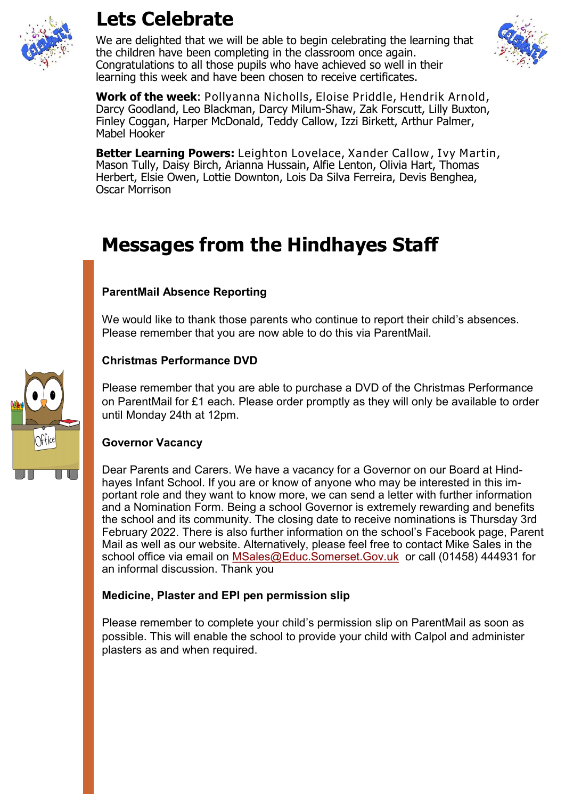

### **Lets Celebrate**

We are delighted that we will be able to begin celebrating the learning that the children have been completing in the classroom once again. Congratulations to all those pupils who have achieved so well in their learning this week and have been chosen to receive certificates.



**Work of the week**: Pollyanna Nicholls, Eloise Priddle, Hendrik Arnold, Darcy Goodland, Leo Blackman, Darcy Milum-Shaw, Zak Forscutt, Lilly Buxton, Finley Coggan, Harper McDonald, Teddy Callow, Izzi Birkett, Arthur Palmer, Mabel Hooker

**Better Learning Powers:** Leighton Lovelace, Xander Callow, Ivy Martin, Mason Tully, Daisy Birch, Arianna Hussain, Alfie Lenton, Olivia Hart, Thomas Herbert, Elsie Owen, Lottie Downton, Lois Da Silva Ferreira, Devis Benghea, Oscar Morrison

## **Messages from the Hindhayes Staff**

### **ParentMail Absence Reporting**

We would like to thank those parents who continue to report their child's absences. Please remember that you are now able to do this via ParentMail.

### **Christmas Performance DVD**

Please remember that you are able to purchase a DVD of the Christmas Performance on ParentMail for £1 each. Please order promptly as they will only be available to order until Monday 24th at 12pm.

### **Governor Vacancy**

Dear Parents and Carers. We have a vacancy for a Governor on our Board at Hindhayes Infant School. If you are or know of anyone who may be interested in this important role and they want to know more, we can send a letter with further information and a Nomination Form. Being a school Governor is extremely rewarding and benefits the school and its community. The closing date to receive nominations is Thursday 3rd February 2022. There is also further information on the school's Facebook page, Parent Mail as well as our website. Alternatively, please feel free to contact Mike Sales in the school office via email on [MSales@Educ.Somerset.Gov.uk](mailto:MSales@Educ.Somerset.Gov.uk) or call (01458) 444931 for an informal discussion. Thank you

### **Medicine, Plaster and EPI pen permission slip**

Please remember to complete your child's permission slip on ParentMail as soon as possible. This will enable the school to provide your child with Calpol and administer plasters as and when required.